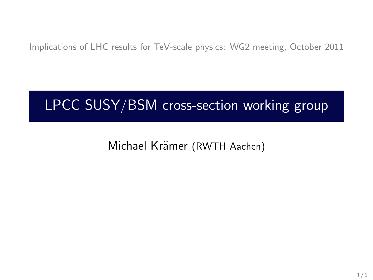Implications of LHC results for TeV-scale physics: WG2 meeting, October 2011

# LPCC SUSY/BSM cross-section working group

Michael Krämer (RWTH Aachen)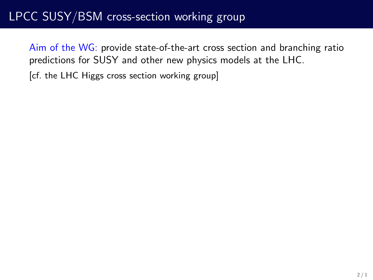## LPCC SUSY/BSM cross-section working group

Aim of the WG: provide state-of-the-art cross section and branching ratio predictions for SUSY and other new physics models at the LHC.

[cf. the LHC Higgs cross section working group]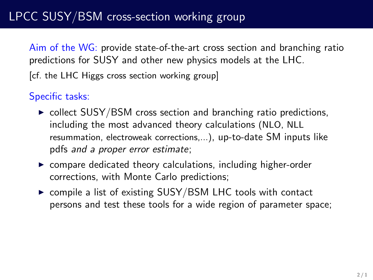# LPCC SUSY/BSM cross-section working group

Aim of the WG: provide state-of-the-art cross section and branching ratio predictions for SUSY and other new physics models at the LHC.

[cf. the LHC Higgs cross section working group]

### Specific tasks:

- $\triangleright$  collect SUSY/BSM cross section and branching ratio predictions, including the most advanced theory calculations (NLO, NLL resummation, electroweak corrections,...), up-to-date SM inputs like pdfs and a proper error estimate;
- $\triangleright$  compare dedicated theory calculations, including higher-order corrections, with Monte Carlo predictions;
- $\triangleright$  compile a list of existing SUSY/BSM LHC tools with contact persons and test these tools for a wide region of parameter space;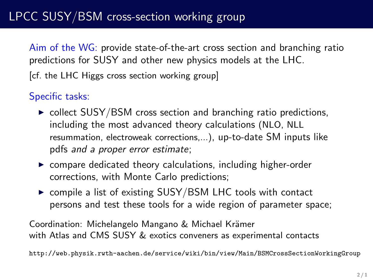# LPCC SUSY/BSM cross-section working group

Aim of the WG: provide state-of-the-art cross section and branching ratio predictions for SUSY and other new physics models at the LHC.

[cf. the LHC Higgs cross section working group]

### Specific tasks:

- $\triangleright$  collect SUSY/BSM cross section and branching ratio predictions, including the most advanced theory calculations (NLO, NLL resummation, electroweak corrections,...), up-to-date SM inputs like pdfs and a proper error estimate;
- $\triangleright$  compare dedicated theory calculations, including higher-order corrections, with Monte Carlo predictions;
- $\triangleright$  compile a list of existing SUSY/BSM LHC tools with contact persons and test these tools for a wide region of parameter space;

Coordination: Michelangelo Mangano & Michael Krämer with Atlas and CMS SUSY & exotics conveners as experimental contacts

http://web.physik.rwth-aachen.de/service/wiki/bin/view/Main/BSMCrossSectionWorkingGroup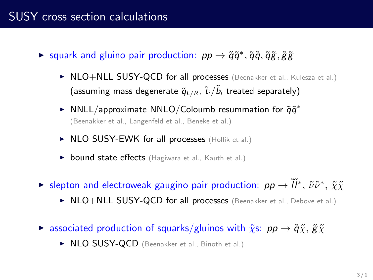### SUSY cross section calculations

- ► squark and gluino pair production:  $pp \rightarrow \tilde{q}\tilde{q}^*, \tilde{q}\tilde{q}, \tilde{q}\tilde{g}, \tilde{g}\tilde{g}$ 
	- ▶ NLO+NLL SUSY-QCD for all processes (Beenakker et al., Kulesza et al.) (assuming mass degenerate  $\tilde{q}_{L/R}$ ,  $\tilde{t}_i/\tilde{b}_i$  treated separately)
	- ► NNLL/approximate NNLO/Coloumb resummation for  $\tilde{q}\tilde{q}^*$ (Beenakker et al., Langenfeld et al., Beneke et al.)
	- ▶ NLO SUSY-EWK for all processes (Hollik et al.)
	- **bound state effects** (Hagiwara et al., Kauth et al.)
- ► slepton and electroweak gaugino pair production:  $pp \to \tilde{l}l^*, \tilde{\nu}\tilde{\nu}^*, \tilde{\chi}\tilde{\chi}$ 
	- ▶ NLO+NLL SUSY-QCD for all processes (Beenakker et al., Debove et al.)
- **Example 3** associated production of squarks/gluinos with  $\tilde{\chi}$ s:  $pp \rightarrow \tilde{q}\tilde{\chi}$ ,  $\tilde{g}\tilde{\chi}$ 
	- ▶ NLO SUSY-QCD (Beenakker et al., Binoth et al.)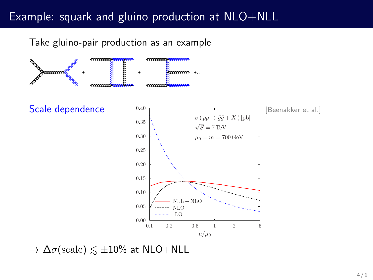## Example: squark and gluino production at NLO+NLL

Take gluino-pair production as an example



 $\rightarrow \Delta \sigma(\mathrm{scale}) \lesssim \pm 10\%$  at NLO+NLL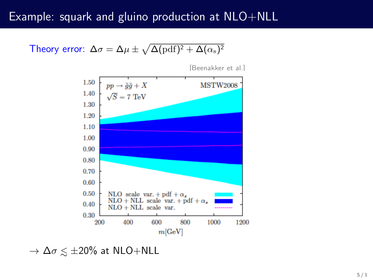### Example: squark and gluino production at NLO+NLL

Theory error:  $\Delta \sigma = \Delta \mu \pm \sqrt{\Delta(\text{pdf})^2 + \Delta(\alpha_{\text{s}})^2}$ 



[Beenakker et al.]

 $\rightarrow \Delta \sigma \lesssim \pm 20\%$  at NLO+NLL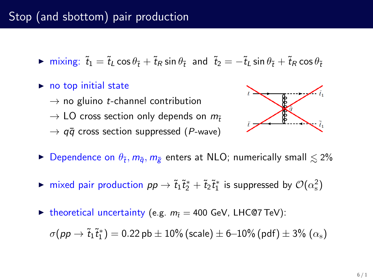## Stop (and sbottom) pair production

- $\triangleright$  mixing:  $\tilde{t}_1 = \tilde{t}_1 \cos \theta_{\tilde{t}} + \tilde{t}_R \sin \theta_{\tilde{t}}$  and  $\tilde{t}_2 = -\tilde{t}_L \sin \theta_{\tilde{t}} + \tilde{t}_R \cos \theta_{\tilde{t}}$
- $\triangleright$  no top initial state
	- $\rightarrow$  no gluino *t*-channel contribution
	- $\rightarrow$  LO cross section only depends on  $m_{\tilde{t}}$
	- $\rightarrow$   $a\bar{a}$  cross section suppressed (P-wave)



- ► Dependence on  $\theta_{\tilde{t}}, m_{\tilde{q}}, m_{\tilde{g}}$  enters at NLO; numerically small  $\lesssim$  2%
- ► mixed pair production  $pp \to \tilde{t}_1 \tilde{t}_2^* + \tilde{t}_2 \tilde{t}_1^*$  is suppressed by  $\mathcal{O}(\alpha_{\rm s}^2)$
- ► theoretical uncertainty (e.g.  $m_{\tilde{t}} = 400$  GeV, LHC@7 TeV):

 $\sigma(p p \to \tilde{t}_1 \tilde{t}_1^*) = 0.22$   ${\rm pb} \pm 10\%$  (scale)  $\pm$  6–10% (pdf)  $\pm$  3%  $(\alpha_{\rm s})$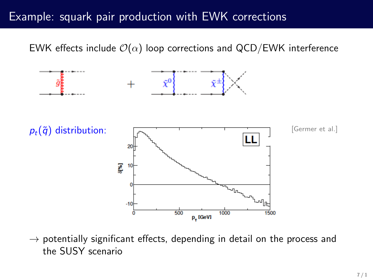### Example: squark pair production with EWK corrections

EWK effects include  $\mathcal{O}(\alpha)$  loop corrections and QCD/EWK interference



 $\rightarrow$  potentially significant effects, depending in detail on the process and the SUSY scenario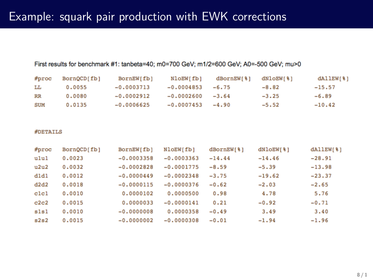## Example: squark pair production with EWK corrections

#### First results for benchmark #1; tanbeta=40; m0=700 GeV; m1/2=600 GeV; A0=-500 GeV; mu>0

| #proc       | BornQCD[fb] | BornEW[fb]   | NloEW[fb]    | dBornEW[ % ] | dNLOEW[8] | $d$ AllEW $[8]$ |
|-------------|-------------|--------------|--------------|--------------|-----------|-----------------|
| LL          | 0.0055      | $-0.0003713$ | $-0.0004853$ | $-6.75$      | $-8.82$   | $-15.57$        |
| $_{\rm RR}$ | 0.0080      | $-0.0002912$ | $-0.0002600$ | $-3.64$      | $-3.25$   | $-6.89$         |
| <b>SUM</b>  | 0.0135      | $-0.0006625$ | $-0.0007453$ | $-4.90$      | $-5.52$   | $-10.42$        |

#### **#DETAILS**

| $#$ proc         | BornQCD[fb] | BornEW[fb]   | NloEW[fb]    | dBornEW[%] | dNloEW[%] | dAllEW[%] |
|------------------|-------------|--------------|--------------|------------|-----------|-----------|
| ulul             | 0.0023      | $-0.0003358$ | $-0.0003363$ | $-14.44$   | $-14.46$  | $-28.91$  |
| u2u2             | 0.0032      | $-0.0002828$ | $-0.0001775$ | $-8.59$    | $-5.39$   | $-13.98$  |
| dldl             | 0.0012      | $-0.0000449$ | $-0.0002348$ | $-3.75$    | $-19.62$  | $-23.37$  |
| d2d2             | 0.0018      | $-0.0000115$ | $-0.0000376$ | $-0.62$    | $-2.03$   | $-2.65$   |
| c <sub>1c1</sub> | 0.0010      | 0.0000102    | 0.0000500    | 0.98       | 4.78      | 5.76      |
| c2c2             | 0.0015      | 0.0000033    | $-0.0000141$ | 0.21       | $-0.92$   | $-0.71$   |
| sls1             | 0.0010      | $-0.0000008$ | 0.0000358    | $-0.49$    | 3.49      | 3.40      |
| s2s2             | 0.0015      | $-0.0000002$ | $-0.0000308$ | $-0.01$    | $-1.94$   | $-1.96$   |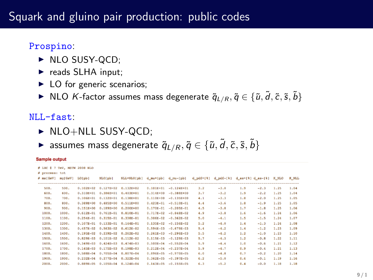### Prospino:

- $\triangleright$  NLO SUSY-QCD:
- $\blacktriangleright$  reads SLHA input;
- $\blacktriangleright$  LO for generic scenarios;
- ► NLO K-factor assumes mass degenerate  $\tilde{q}_{L/R}, \tilde{q} \in \{ \tilde{u}, \tilde{d}, \tilde{c}, \tilde{s}, \tilde{b} \}$

### $NI.I-fast.$

- $\triangleright$  NLO+NLL SUSY-QCD;
- ► assumes mass degenerate  $\tilde{q}_{L/R}, \tilde{q} \in \{\tilde{u}, \tilde{d}, \tilde{c}, \tilde{s}, \tilde{b}\}$

#### **Sample output**

|                |                   | # LHC # 7 TeV. MSTW 2008 NLO |               |                     |                     |               |                |               |               |     |                                                            |      |       |
|----------------|-------------------|------------------------------|---------------|---------------------|---------------------|---------------|----------------|---------------|---------------|-----|------------------------------------------------------------|------|-------|
| # process: tot |                   |                              |               |                     |                     |               |                |               |               |     |                                                            |      |       |
|                | $\theta$ ms [GeV] | maiGeV1                      | LO[pb]        | HLOI pb1            | NLL+NLO[pb]         | d mu+(pb)     | d mu-[pb]      | $d$ $pdf+181$ | $d$ $pdf-181$ |     | $d$ as <sup><math>+</math>[8]</sup> $d$ as $-$ [8] $K$ NLO |      | K NLL |
|                | 500.              | 500.                         | $0.102R + 02$ | $0.127B + 02$       | $0.132E + 02$       | $0.101E + 01$ | $-0.124E + 01$ | 3.2           | $-3.0$        | 1.9 | $-2.3$                                                     | 1.25 | 1.04  |
|                | 600.              | 600.                         | $0.3108 + 01$ | $0.3868 + 01$       | $0.4036 + 01$       | $0.3148 + 00$ | $-0.388E + 00$ | 3.7           | $-3.2$        | 1.9 | $-2.2$                                                     | 1.25 | 1.04  |
|                | 700.              | 700.                         | $0.106B + 01$ | $0.132B + 01$       | 0.138E+01           | $0.110E + 00$ | $-0.135E + 00$ | 4.1           | $-3.3$        | 1.8 | $-2.0$                                                     | 1.25 | 1.05  |
|                | 800.              | 800.                         | $0.3898+00$   | $0.485B+00$         | $0.511E + 00$       | $0.423E-01$   | $-0.510E-01$   | 4.4           | $-3.6$        | 1.8 | $-1.9$                                                     | 1.25 | 1.05  |
|                | 900.              | 900.                         | $0.151R + 00$ | $0.189B + 00$       | $0.200E + 00$       | $0.170E - 01$ | $-0.205E-01$   | 4.5           | $-3.8$        | 1.7 | $-1.8$                                                     | 1.25 | 1.06  |
|                | 1000.             | 1000.                        | $0.6128 - 01$ |                     | 0.761E-01 0.810E-01 | $0.717E - 02$ | $-0.848E-02$   | 4.9           | $-3.8$        | 1.6 | $-1.6$                                                     | 1.24 | 1.06  |
|                | 1100.             | 1100.                        | $0.2548 - 01$ |                     | 0.315E-01 0.338E-01 | $0.306E - 02$ | $-0.362E - 02$ | 5.0           | $-4.1$        | 1.5 | $-1.5$                                                     | 1.24 | 1.07  |
|                | 1200.             | 1200.                        | $0.107E - 01$ | $0.133E - 01$       | $0.144E - 01$       | $0.135E - 02$ | $-0.156E-02$   | 5.2           | $-4.0$        | 1.4 | $-1.3$                                                     | 1.24 | 1.08  |
|                | 1300.             | 1300.                        | $0.457R - 02$ | $0.563B - 02$       | $0.612E - 02$       | $0.594E - 03$ | $-0.679E - 03$ | 5.4           | $-4.2$        | 1.4 | $-1.2$                                                     | 1.23 | 1.09  |
|                | 1400.             | 1400.                        | $0.195E-02$   | $0.239E - 02$       | $0.262E - 02$       | $0.261E - 03$ | $-0.296E - 03$ | 5.5           | $-4.2$        | 1.2 | $-1.0$                                                     | 1.23 | 1.10  |
|                | 1500.             | 1500.                        | $0.8298 - 03$ | $0.101B - 02$       | $0.112E-02$         | $0.115E - 03$ | $-0.129E-03$   | 5.7           | $-4.3$        | 1.2 | $-0.8$                                                     | 1.22 | 1.11  |
|                | 1600.             | 1600.                        | $0.349E - 03$ | $0.424B - 03$       | $0.474E - 03$       | $0.500E - 04$ | $-0.552E - 04$ | 5.9           | $-4.4$        | 1.0 | $-0.6$                                                     | 1.21 | 1.12  |
|                | 1700.             | 1700.                        | $0.145E - 03$ | $0.175B - 03$       | $0.198E - 03$       | $0.212E - 04$ | $-0.237E-04$   | 5.9           | $-4.7$        | 0.9 | $-0.4$                                                     | 1.21 | 1.13  |
|                | 1800.             | 1800.                        | 0.588E-04     | $0.705B - 04$       | $0.807E - 04$       | $0.896E - 05$ | $-0.970E - 05$ | 6.0           | $-4.8$        | 0.7 | $-0.2$                                                     | 1.20 | 1.14  |
|                | 1900.             | 1900.                        | $0.232E - 04$ | $0.277B - 04$       | $0.322E - 04$       | $0.362E - 05$ | $-0.397E - 05$ | 6.2           | $-5.0$        | 0.6 | $-0.1$                                                     | 1.19 | 1.16  |
|                | 2000.             | 2000.                        | $0.8898 - 05$ | 0.105B-04 0.124E-04 |                     | $0.143E - 05$ | $-0.155E-05$   | 6.3           | $-5.2$        | 0.4 | $-0.0$                                                     | 1.18 | 1.18  |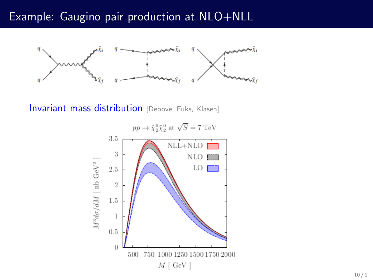### Example: Gaugino pair production at NLO+NLL



Invariant mass distribution [Debove, Fuks, Klasen]

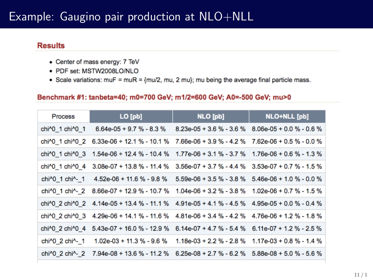### Example: Gaugino pair production at NLO+NLL

#### **Results**

- Center of mass energy: 7 TeV
- · PDF set: MSTW2008LO/NLO
- Scale variations:  $m\overline{u} = m\overline{u}R = \{mu/2, mu, 2 mu\};$  mu being the average final particle mass.

#### Benchmark #1: tanbeta=40; m0=700 GeV; m1/2=600 GeV; A0=-500 GeV; mu>0

| <b>Process</b>                            | $LO$ $[pb]$                                                                                                                                                                                                                                                            | NLO [pb]                                                  | <b>NLO+NLL</b> [pb]        |
|-------------------------------------------|------------------------------------------------------------------------------------------------------------------------------------------------------------------------------------------------------------------------------------------------------------------------|-----------------------------------------------------------|----------------------------|
| chi <sup>4</sup> 0 1 chi <sup>4</sup> 0 1 | $6.64e-05 + 9.7 % - 8.3 %$                                                                                                                                                                                                                                             | $8.23e-05 + 3.6 \% - 3.6 \%$ $8.06e-05 + 0.0 \% - 0.6 \%$ |                            |
| chi^0 1 chi^0 2                           | $6.33e-06 + 12.1 % - 10.1 %$                                                                                                                                                                                                                                           | 7.66e-06 + 3.9 % - 4.2 % 7.62e-06 + 0.5 % - 0.0 %         |                            |
| chi <sup>1</sup> 0 1 chi <sup>1</sup> 0 3 | $1.54e-06 + 12.4 % - 10.4 % - 1.77e-06 + 3.1 % - 3.7 % - 1.76e-06 + 0.6 % - 1.3 % - 1.3% - 1.3% - 1.3% - 1.3% - 1.3% - 1.3% - 1.3% - 1.3% - 1.3% - 1.3% - 1.3% - 1.3% - 1.3% - 1.3% - 1.3% - 1.3% - 1.3% - 1.3% - 1.3% - 1.3% - 1.3% - 1.3% - 1.3% - 1.3% - 1.3% - 1.$ |                                                           |                            |
| chi <sup>1</sup> 0 1 chi <sup>1</sup> 0 4 | $3.08e-07 + 13.8 \% - 11.4 \%$ $3.56e-07 + 3.7 \% - 4.4 \%$ $3.53e-07 + 0.7 \% - 1.5 \%$                                                                                                                                                                               |                                                           |                            |
| chi <sup>^o</sup> 1 chi <sup>^</sup> - 1  | 4.52e-06 + 11.6 % - 9.8 %                                                                                                                                                                                                                                              | $5.59e-06 + 3.5 \% - 3.8 \%$ 5.46e-06 + 1.0 % - 0.0 %     |                            |
| chi <sup>1</sup> 0 1 chi <sup>1</sup> - 2 | $8.66e-07 + 12.9 % - 10.7 %$                                                                                                                                                                                                                                           | $1.04e-06 + 3.2 % - 3.8 %$                                | $1.02e-06 + 0.7 % - 1.5 %$ |
|                                           | chi^0 2 chi^0 2 4.14e-05 + 13.4 % - 11.1 % 4.91e-05 + 4.1 % - 4.5 % 4.95e-05 + 0.0 % - 0.4 %                                                                                                                                                                           |                                                           |                            |
| chi <sup>1</sup> 0 2 chi <sup>1</sup> 0 3 | $4.29e-06 + 14.1 \% - 11.6 \%$ $4.81e-06 + 3.4 \% - 4.2 \%$ $4.76e-06 + 1.2 \% - 1.8 \%$                                                                                                                                                                               |                                                           |                            |
| chi <sup>1</sup> 0 2 chi <sup>1</sup> 0 4 | $5.43e-07 + 16.0 \% - 12.9 \%$ 6.14e-07 + 4.7 % - 5.4 % 6.11e-07 + 1.2 % - 2.5 %                                                                                                                                                                                       |                                                           |                            |
| chi <sup>1</sup> 0 2 chi <sup>1</sup> - 1 | 1.02e-03 + 11.3 % - 9.6 %                                                                                                                                                                                                                                              | $1.18e-03 + 2.2 \% - 2.8 \%$ 1.17e-03 + 0.8 % - 1.4 %     |                            |
| chi^0 2 chi^- 2                           | 7.94e-08 + 13.6 % - 11.2 % 6.25e-08 + 2.7 % - 6.2 % 5.88e-08 + 5.0 % - 5.6 %                                                                                                                                                                                           |                                                           |                            |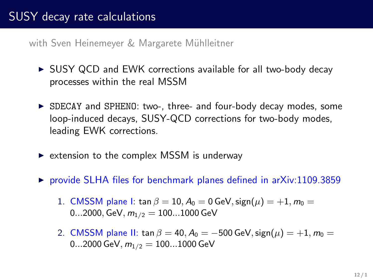with Sven Heinemeyer & Margarete Mühlleitner

- $\triangleright$  SUSY QCD and EWK corrections available for all two-body decay processes within the real MSSM
- $\triangleright$  SDECAY and SPHENO: two-, three- and four-body decay modes, some loop-induced decays, SUSY-QCD corrections for two-body modes, leading EWK corrections.
- $\triangleright$  extension to the complex MSSM is underway
- $\triangleright$  provide SLHA files for benchmark planes defined in arXiv:1109.3859
	- 1. CMSSM plane I: tan  $\beta = 10$ ,  $A_0 = 0$  GeV, sign( $\mu$ ) = +1,  $m_0 =$ 0...2000, GeV,  $m_{1/2} = 100...1000$  GeV
	- 2. CMSSM plane II: tan  $\beta = 40$ ,  $A_0 = -500$  GeV, sign $(\mu) = +1$ ,  $m_0 =$ 0...2000 GeV,  $m_{1/2} = 100...1000$  GeV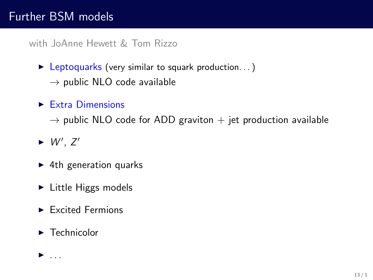## Further BSM models

with JoAnne Hewett & Tom Rizzo

 $\blacktriangleright$  Leptoquarks (very similar to squark production...)  $\rightarrow$  public NLO code available

 $\blacktriangleright$  Extra Dimensions

 $\rightarrow$  public NLO code for ADD graviton  $+$  jet production available

- $\blacktriangleright$  W', Z'
- $\blacktriangleright$  4th generation quarks
- $\blacktriangleright$  Little Higgs models
- $\blacktriangleright$  Excited Fermions
- $\blacktriangleright$  Technicolor